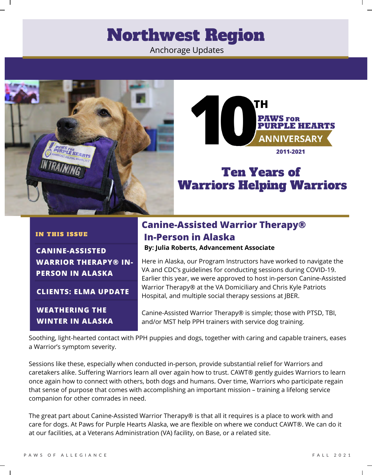## Northwest Region

Anchorage Updates





## Ten Years of Warriors Helping Warriors

#### IN THIS ISSUE

**CANINE-ASSISTED WARRIOR THERAPY® IN-PERSON IN ALASKA**

**CLIENTS: ELMA UPDATE**

**WEATHERING THE WINTER IN ALASKA**

### **Canine-Assisted Warrior Therapy® In-Person in Alaska**

**By: Julia Roberts, Advancement Associate**

Here in Alaska, our Program Instructors have worked to navigate the VA and CDC's guidelines for conducting sessions during COVID-19. Earlier this year, we were approved to host in-person Canine-Assisted Warrior Therapy® at the VA Domiciliary and Chris Kyle Patriots Hospital, and multiple social therapy sessions at JBER.

Canine-Assisted Warrior Therapy® is simple; those with PTSD, TBI, and/or MST help PPH trainers with service dog training.

Soothing, light-hearted contact with PPH puppies and dogs, together with caring and capable trainers, eases a Warrior's symptom severity.

Sessions like these, especially when conducted in-person, provide substantial relief for Warriors and caretakers alike. Suffering Warriors learn all over again how to trust. CAWT® gently guides Warriors to learn once again how to connect with others, both dogs and humans. Over time, Warriors who participate regain that sense of purpose that comes with accomplishing an important mission – training a lifelong service companion for other comrades in need.

The great part about Canine-Assisted Warrior Therapy® is that all it requires is a place to work with and care for dogs. At Paws for Purple Hearts Alaska, we are flexible on where we conduct CAWT®. We can do it at our facilities, at a Veterans Administration (VA) facility, on Base, or a related site.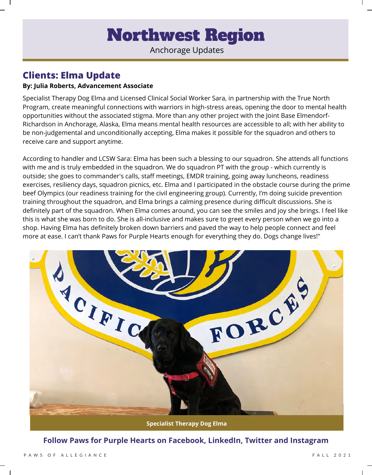# Northwest Region

Anchorage Updates

### **Clients: Elma Update**

#### **By: Julia Roberts, Advancement Associate**

Specialist Therapy Dog Elma and Licensed Clinical Social Worker Sara, in partnership with the True North Program, create meaningful connections with warriors in high-stress areas, opening the door to mental health opportunities without the associated stigma. More than any other project with the Joint Base Elmendorf-Richardson in Anchorage, Alaska, Elma means mental health resources are accessible to all; with her ability to be non-judgemental and unconditionally accepting, Elma makes it possible for the squadron and others to receive care and support anytime.

According to handler and LCSW Sara: Elma has been such a blessing to our squadron. She attends all functions with me and is truly embedded in the squadron. We do squadron PT with the group - which currently is outside; she goes to commander's calls, staff meetings, EMDR training, going away luncheons, readiness exercises, resiliency days, squadron picnics, etc. Elma and I participated in the obstacle course during the prime beef Olympics (our readiness training for the civil engineering group). Currently, I'm doing suicide prevention training throughout the squadron, and Elma brings a calming presence during difficult discussions. She is definitely part of the squadron. When Elma comes around, you can see the smiles and joy she brings. I feel like this is what she was born to do. She is all-inclusive and makes sure to greet every person when we go into a shop. Having Elma has definitely broken down barriers and paved the way to help people connect and feel more at ease. I can't thank Paws for Purple Hearts enough for everything they do. Dogs change lives!"



#### **Follow Paws for Purple Hearts on Facebook, LinkedIn, Twitter and Instagram**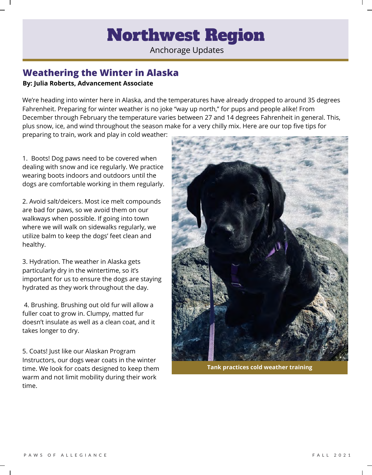# Northwest Region

Anchorage Updates

### **Weathering the Winter in Alaska By: Julia Roberts, Advancement Associate**

We're heading into winter here in Alaska, and the temperatures have already dropped to around 35 degrees Fahrenheit. Preparing for winter weather is no joke "way up north," for pups and people alike! From December through February the temperature varies between 27 and 14 degrees Fahrenheit in general. This, plus snow, ice, and wind throughout the season make for a very chilly mix. Here are our top five tips for preparing to train, work and play in cold weather:

1. Boots! Dog paws need to be covered when dealing with snow and ice regularly. We practice wearing boots indoors and outdoors until the dogs are comfortable working in them regularly.

2. Avoid salt/deicers. Most ice melt compounds are bad for paws, so we avoid them on our walkways when possible. If going into town where we will walk on sidewalks regularly, we utilize balm to keep the dogs' feet clean and healthy.

3. Hydration. The weather in Alaska gets particularly dry in the wintertime, so it's important for us to ensure the dogs are staying hydrated as they work throughout the day.

4. Brushing. Brushing out old fur will allow a fuller coat to grow in. Clumpy, matted fur doesn't insulate as well as a clean coat, and it takes longer to dry.

5. Coats! Just like our Alaskan Program Instructors, our dogs wear coats in the winter time. We look for coats designed to keep them warm and not limit mobility during their work time.



**Tank practices cold weather training**